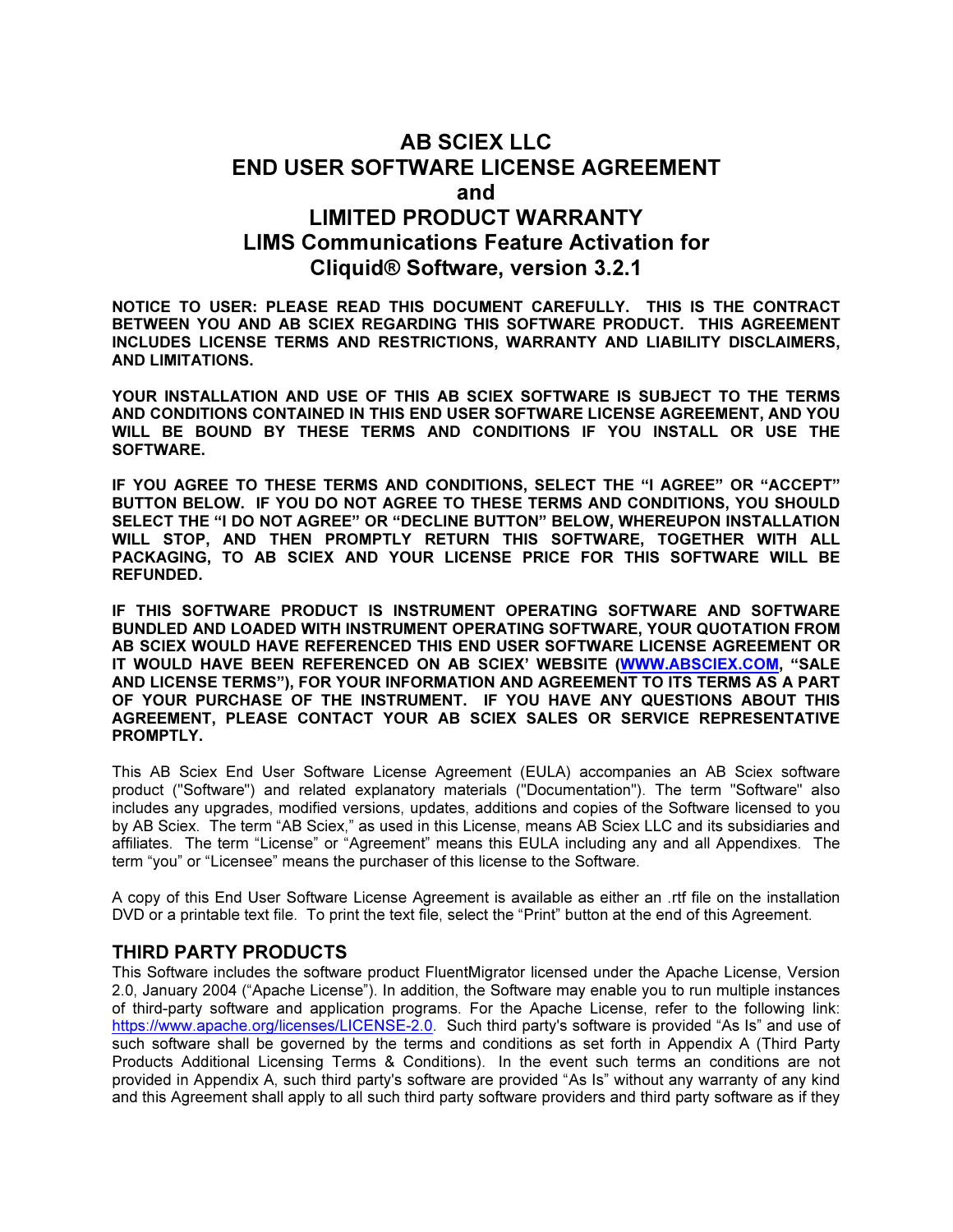# AB SCIEX LLC END USER SOFTWARE LICENSE AGREEMENT and LIMITED PRODUCT WARRANTY LIMS Communications Feature Activation for Cliquid® Software, version 3.2.1

NOTICE TO USER: PLEASE READ THIS DOCUMENT CAREFULLY. THIS IS THE CONTRACT BETWEEN YOU AND AB SCIEX REGARDING THIS SOFTWARE PRODUCT. THIS AGREEMENT INCLUDES LICENSE TERMS AND RESTRICTIONS, WARRANTY AND LIABILITY DISCLAIMERS, AND LIMITATIONS.

YOUR INSTALLATION AND USE OF THIS AB SCIEX SOFTWARE IS SUBJECT TO THE TERMS AND CONDITIONS CONTAINED IN THIS END USER SOFTWARE LICENSE AGREEMENT, AND YOU WILL BE BOUND BY THESE TERMS AND CONDITIONS IF YOU INSTALL OR USE THE SOFTWARE.

IF YOU AGREE TO THESE TERMS AND CONDITIONS, SELECT THE "I AGREE" OR "ACCEPT" BUTTON BELOW. IF YOU DO NOT AGREE TO THESE TERMS AND CONDITIONS, YOU SHOULD SELECT THE "I DO NOT AGREE" OR "DECLINE BUTTON" BELOW, WHEREUPON INSTALLATION WILL STOP, AND THEN PROMPTLY RETURN THIS SOFTWARE, TOGETHER WITH ALL PACKAGING, TO AB SCIEX AND YOUR LICENSE PRICE FOR THIS SOFTWARE WILL BE REFUNDED.

IF THIS SOFTWARE PRODUCT IS INSTRUMENT OPERATING SOFTWARE AND SOFTWARE BUNDLED AND LOADED WITH INSTRUMENT OPERATING SOFTWARE, YOUR QUOTATION FROM AB SCIEX WOULD HAVE REFERENCED THIS END USER SOFTWARE LICENSE AGREEMENT OR IT WOULD HAVE BEEN REFERENCED ON AB SCIEX' WEBSITE (WWW.ABSCIEX.COM, "SALE AND LICENSE TERMS"), FOR YOUR INFORMATION AND AGREEMENT TO ITS TERMS AS A PART OF YOUR PURCHASE OF THE INSTRUMENT. IF YOU HAVE ANY QUESTIONS ABOUT THIS AGREEMENT, PLEASE CONTACT YOUR AB SCIEX SALES OR SERVICE REPRESENTATIVE PROMPTLY.

This AB Sciex End User Software License Agreement (EULA) accompanies an AB Sciex software product ("Software") and related explanatory materials ("Documentation"). The term "Software" also includes any upgrades, modified versions, updates, additions and copies of the Software licensed to you by AB Sciex. The term "AB Sciex," as used in this License, means AB Sciex LLC and its subsidiaries and affiliates. The term "License" or "Agreement" means this EULA including any and all Appendixes. The term "you" or "Licensee" means the purchaser of this license to the Software.

A copy of this End User Software License Agreement is available as either an .rtf file on the installation DVD or a printable text file. To print the text file, select the "Print" button at the end of this Agreement.

### THIRD PARTY PRODUCTS

This Software includes the software product FluentMigrator licensed under the Apache License, Version 2.0, January 2004 ("Apache License"). In addition, the Software may enable you to run multiple instances of third-party software and application programs. For the Apache License, refer to the following link: https://www.apache.org/licenses/LICENSE-2.0 Such third party's software is provided "As Is" and use of such software shall be governed by the terms and conditions as set forth in Appendix A (Third Party Products Additional Licensing Terms & Conditions). In the event such terms an conditions are not provided in Appendix A, such third party's software are provided "As Is" without any warranty of any kind and this Agreement shall apply to all such third party software providers and third party software as if they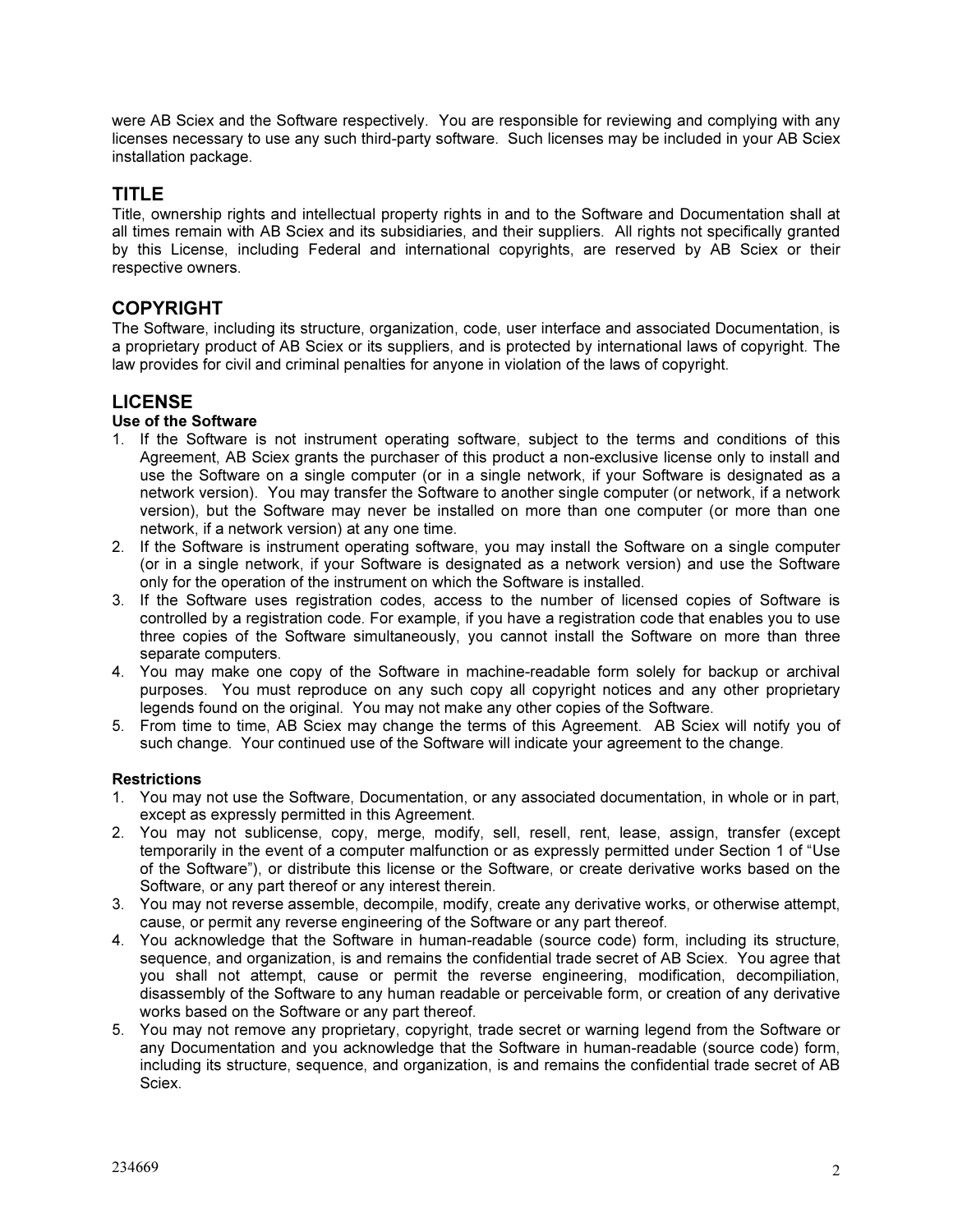were AB Sciex and the Software respectively. You are responsible for reviewing and complying with any licenses necessary to use any such third-party software. Such licenses may be included in your AB Sciex installation package.

## TITLE

Title, ownership rights and intellectual property rights in and to the Software and Documentation shall at all times remain with AB Sciex and its subsidiaries, and their suppliers. All rights not specifically granted by this License, including Federal and international copyrights, are reserved by AB Sciex or their respective owners.

## COPYRIGHT

The Software, including its structure, organization, code, user interface and associated Documentation, is a proprietary product of AB Sciex or its suppliers, and is protected by international laws of copyright. The law provides for civil and criminal penalties for anyone in violation of the laws of copyright.

## LICENSE

### Use of the Software

- 1. If the Software is not instrument operating software, subject to the terms and conditions of this Agreement, AB Sciex grants the purchaser of this product a non-exclusive license only to install and use the Software on a single computer (or in a single network, if your Software is designated as a network version). You may transfer the Software to another single computer (or network, if a network version), but the Software may never be installed on more than one computer (or more than one network, if a network version) at any one time.
- 2. If the Software is instrument operating software, you may install the Software on a single computer (or in a single network, if your Software is designated as a network version) and use the Software only for the operation of the instrument on which the Software is installed.
- 3. If the Software uses registration codes, access to the number of licensed copies of Software is controlled by a registration code. For example, if you have a registration code that enables you to use three copies of the Software simultaneously, you cannot install the Software on more than three separate computers.
- 4. You may make one copy of the Software in machine-readable form solely for backup or archival purposes. You must reproduce on any such copy all copyright notices and any other proprietary legends found on the original. You may not make any other copies of the Software.
- 5. From time to time, AB Sciex may change the terms of this Agreement. AB Sciex will notify you of such change. Your continued use of the Software will indicate your agreement to the change.

#### **Restrictions**

- 1. You may not use the Software, Documentation, or any associated documentation, in whole or in part, except as expressly permitted in this Agreement.
- 2. You may not sublicense, copy, merge, modify, sell, resell, rent, lease, assign, transfer (except temporarily in the event of a computer malfunction or as expressly permitted under Section 1 of "Use of the Software"), or distribute this license or the Software, or create derivative works based on the Software, or any part thereof or any interest therein.
- 3. You may not reverse assemble, decompile, modify, create any derivative works, or otherwise attempt, cause, or permit any reverse engineering of the Software or any part thereof.
- 4. You acknowledge that the Software in human-readable (source code) form, including its structure, sequence, and organization, is and remains the confidential trade secret of AB Sciex. You agree that you shall not attempt, cause or permit the reverse engineering, modification, decompiliation, disassembly of the Software to any human readable or perceivable form, or creation of any derivative works based on the Software or any part thereof.
- 5. You may not remove any proprietary, copyright, trade secret or warning legend from the Software or any Documentation and you acknowledge that the Software in human-readable (source code) form, including its structure, sequence, and organization, is and remains the confidential trade secret of AB Sciex.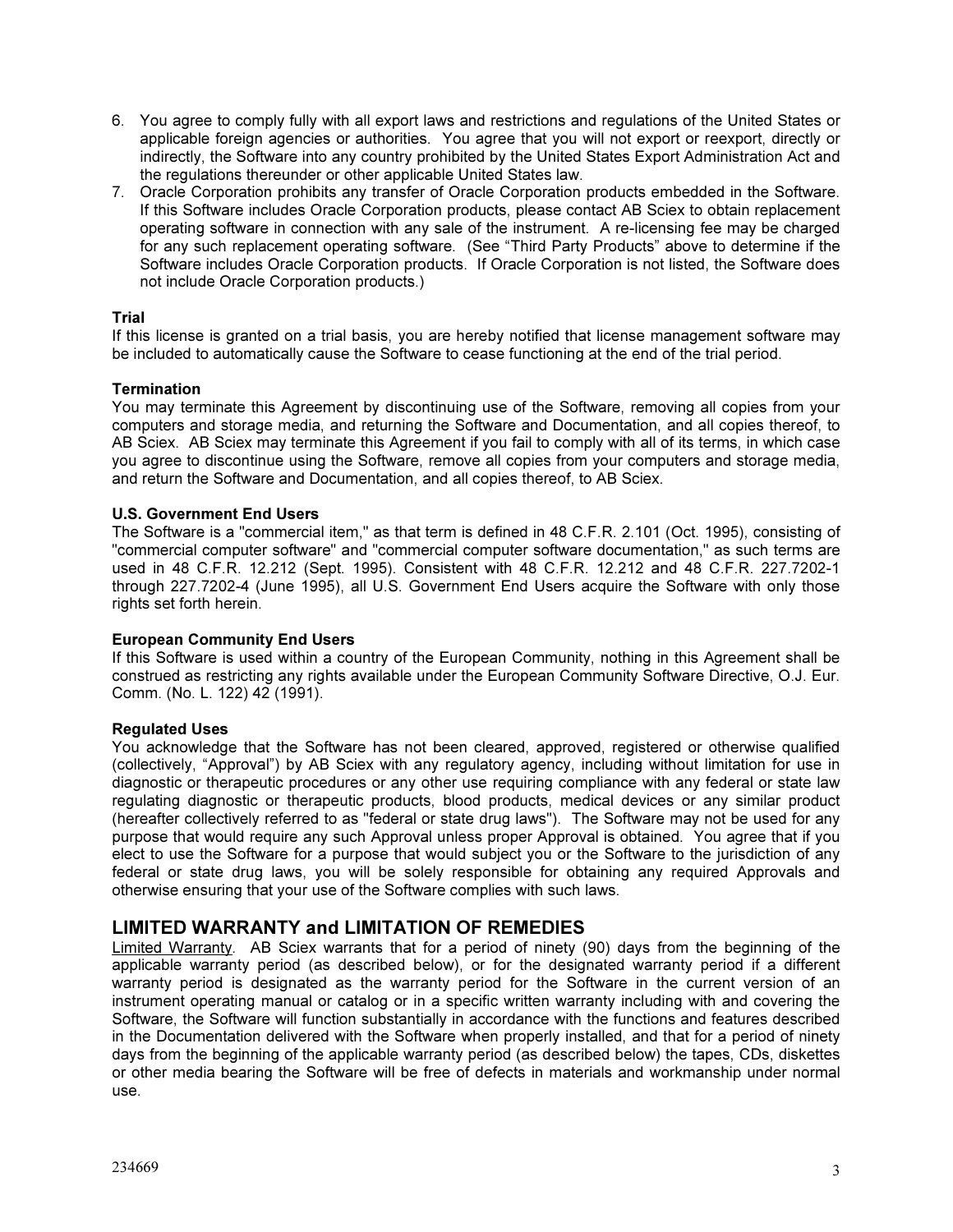- 6. You agree to comply fully with all export laws and restrictions and regulations of the United States or applicable foreign agencies or authorities. You agree that you will not export or reexport, directly or indirectly, the Software into any country prohibited by the United States Export Administration Act and the regulations thereunder or other applicable United States law.
- 7. Oracle Corporation prohibits any transfer of Oracle Corporation products embedded in the Software. If this Software includes Oracle Corporation products, please contact AB Sciex to obtain replacement operating software in connection with any sale of the instrument. A re-licensing fee may be charged for any such replacement operating software. (See "Third Party Products" above to determine if the Software includes Oracle Corporation products. If Oracle Corporation is not listed, the Software does not include Oracle Corporation products.)

#### Trial

If this license is granted on a trial basis, you are hereby notified that license management software may be included to automatically cause the Software to cease functioning at the end of the trial period.

#### Termination

You may terminate this Agreement by discontinuing use of the Software, removing all copies from your computers and storage media, and returning the Software and Documentation, and all copies thereof, to AB Sciex. AB Sciex may terminate this Agreement if you fail to comply with all of its terms, in which case you agree to discontinue using the Software, remove all copies from your computers and storage media, and return the Software and Documentation, and all copies thereof, to AB Sciex.

#### U.S. Government End Users

The Software is a "commercial item," as that term is defined in 48 C.F.R. 2.101 (Oct. 1995), consisting of "commercial computer software" and "commercial computer software documentation," as such terms are used in 48 C.F.R. 12.212 (Sept. 1995). Consistent with 48 C.F.R. 12.212 and 48 C.F.R. 227.7202-1 through 227.7202-4 (June 1995), all U.S. Government End Users acquire the Software with only those rights set forth herein.

#### European Community End Users

If this Software is used within a country of the European Community, nothing in this Agreement shall be construed as restricting any rights available under the European Community Software Directive, O.J. Eur. Comm. (No. L. 122) 42 (1991).

#### Regulated Uses

You acknowledge that the Software has not been cleared, approved, registered or otherwise qualified (collectively, "Approval") by AB Sciex with any regulatory agency, including without limitation for use in diagnostic or therapeutic procedures or any other use requiring compliance with any federal or state law regulating diagnostic or therapeutic products, blood products, medical devices or any similar product (hereafter collectively referred to as "federal or state drug laws"). The Software may not be used for any purpose that would require any such Approval unless proper Approval is obtained. You agree that if you elect to use the Software for a purpose that would subject you or the Software to the jurisdiction of any federal or state drug laws, you will be solely responsible for obtaining any required Approvals and otherwise ensuring that your use of the Software complies with such laws.

### LIMITED WARRANTY and LIMITATION OF REMEDIES

Limited Warranty. AB Sciex warrants that for a period of ninety (90) days from the beginning of the applicable warranty period (as described below), or for the designated warranty period if a different warranty period is designated as the warranty period for the Software in the current version of an instrument operating manual or catalog or in a specific written warranty including with and covering the Software, the Software will function substantially in accordance with the functions and features described in the Documentation delivered with the Software when properly installed, and that for a period of ninety days from the beginning of the applicable warranty period (as described below) the tapes, CDs, diskettes or other media bearing the Software will be free of defects in materials and workmanship under normal use.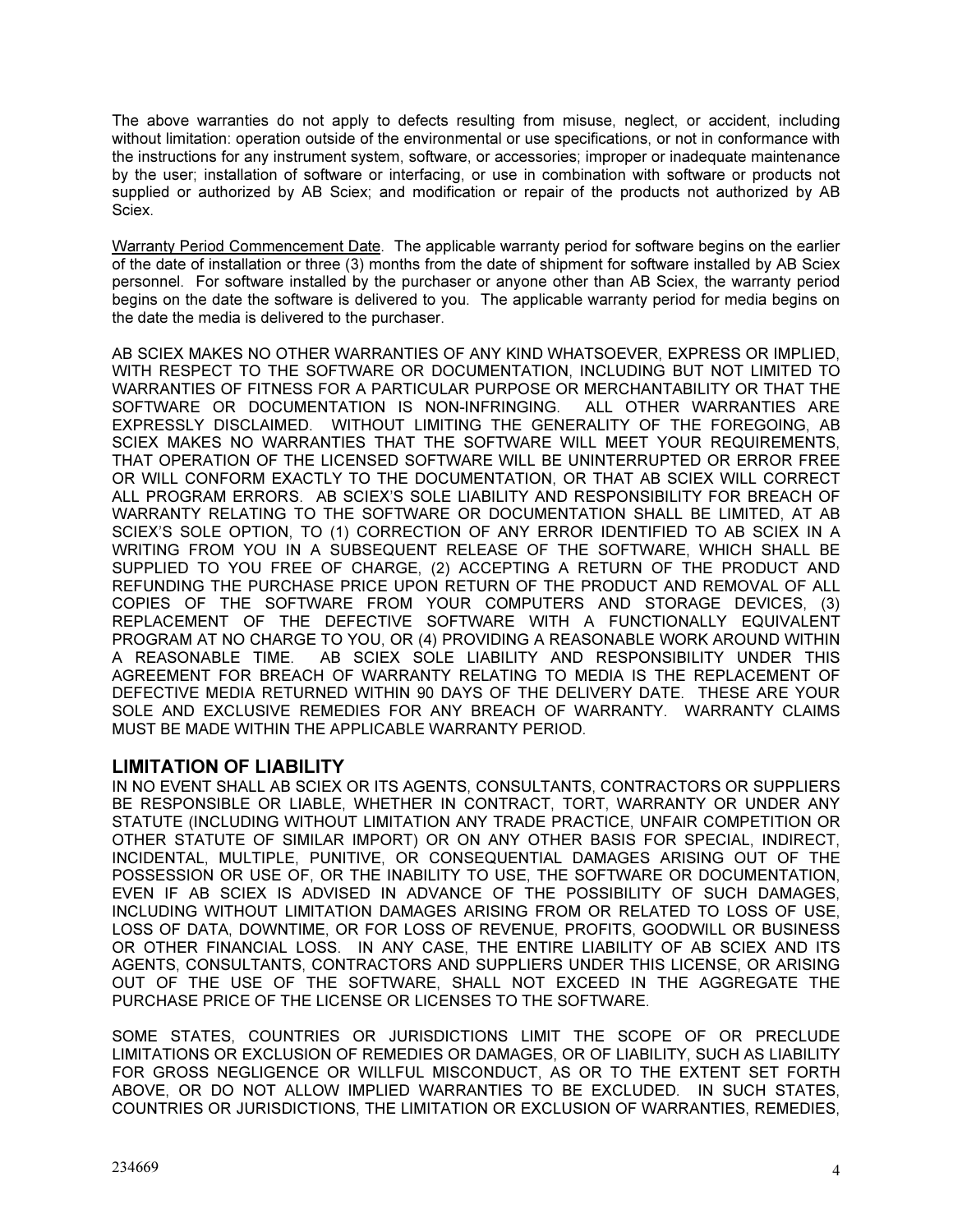The above warranties do not apply to defects resulting from misuse, neglect, or accident, including without limitation: operation outside of the environmental or use specifications, or not in conformance with the instructions for any instrument system, software, or accessories; improper or inadequate maintenance by the user; installation of software or interfacing, or use in combination with software or products not supplied or authorized by AB Sciex; and modification or repair of the products not authorized by AB Sciex.

Warranty Period Commencement Date. The applicable warranty period for software begins on the earlier of the date of installation or three (3) months from the date of shipment for software installed by AB Sciex personnel. For software installed by the purchaser or anyone other than AB Sciex, the warranty period begins on the date the software is delivered to you. The applicable warranty period for media begins on the date the media is delivered to the purchaser.

AB SCIEX MAKES NO OTHER WARRANTIES OF ANY KIND WHATSOEVER, EXPRESS OR IMPLIED, WITH RESPECT TO THE SOFTWARE OR DOCUMENTATION, INCLUDING BUT NOT LIMITED TO WARRANTIES OF FITNESS FOR A PARTICULAR PURPOSE OR MERCHANTABILITY OR THAT THE SOFTWARE OR DOCUMENTATION IS NON-INFRINGING. ALL OTHER WARRANTIES ARE EXPRESSLY DISCLAIMED. WITHOUT LIMITING THE GENERALITY OF THE FOREGOING, AB SCIEX MAKES NO WARRANTIES THAT THE SOFTWARE WILL MEET YOUR REQUIREMENTS, THAT OPERATION OF THE LICENSED SOFTWARE WILL BE UNINTERRUPTED OR ERROR FREE OR WILL CONFORM EXACTLY TO THE DOCUMENTATION, OR THAT AB SCIEX WILL CORRECT ALL PROGRAM ERRORS. AB SCIEX'S SOLE LIABILITY AND RESPONSIBILITY FOR BREACH OF WARRANTY RELATING TO THE SOFTWARE OR DOCUMENTATION SHALL BE LIMITED, AT AB SCIEX'S SOLE OPTION, TO (1) CORRECTION OF ANY ERROR IDENTIFIED TO AB SCIEX IN A WRITING FROM YOU IN A SUBSEQUENT RELEASE OF THE SOFTWARE, WHICH SHALL BE SUPPLIED TO YOU FREE OF CHARGE, (2) ACCEPTING A RETURN OF THE PRODUCT AND REFUNDING THE PURCHASE PRICE UPON RETURN OF THE PRODUCT AND REMOVAL OF ALL COPIES OF THE SOFTWARE FROM YOUR COMPUTERS AND STORAGE DEVICES, (3) REPLACEMENT OF THE DEFECTIVE SOFTWARE WITH A FUNCTIONALLY EQUIVALENT PROGRAM AT NO CHARGE TO YOU, OR (4) PROVIDING A REASONABLE WORK AROUND WITHIN A REASONABLE TIME. AB SCIEX SOLE LIABILITY AND RESPONSIBILITY UNDER THIS AGREEMENT FOR BREACH OF WARRANTY RELATING TO MEDIA IS THE REPLACEMENT OF DEFECTIVE MEDIA RETURNED WITHIN 90 DAYS OF THE DELIVERY DATE. THESE ARE YOUR SOLE AND EXCLUSIVE REMEDIES FOR ANY BREACH OF WARRANTY. WARRANTY CLAIMS MUST BE MADE WITHIN THE APPLICABLE WARRANTY PERIOD.

### LIMITATION OF LIABILITY

IN NO EVENT SHALL AB SCIEX OR ITS AGENTS, CONSULTANTS, CONTRACTORS OR SUPPLIERS BE RESPONSIBLE OR LIABLE, WHETHER IN CONTRACT, TORT, WARRANTY OR UNDER ANY STATUTE (INCLUDING WITHOUT LIMITATION ANY TRADE PRACTICE, UNFAIR COMPETITION OR OTHER STATUTE OF SIMILAR IMPORT) OR ON ANY OTHER BASIS FOR SPECIAL, INDIRECT, INCIDENTAL, MULTIPLE, PUNITIVE, OR CONSEQUENTIAL DAMAGES ARISING OUT OF THE POSSESSION OR USE OF, OR THE INABILITY TO USE, THE SOFTWARE OR DOCUMENTATION, EVEN IF AB SCIEX IS ADVISED IN ADVANCE OF THE POSSIBILITY OF SUCH DAMAGES, INCLUDING WITHOUT LIMITATION DAMAGES ARISING FROM OR RELATED TO LOSS OF USE, LOSS OF DATA, DOWNTIME, OR FOR LOSS OF REVENUE, PROFITS, GOODWILL OR BUSINESS OR OTHER FINANCIAL LOSS. IN ANY CASE, THE ENTIRE LIABILITY OF AB SCIEX AND ITS AGENTS, CONSULTANTS, CONTRACTORS AND SUPPLIERS UNDER THIS LICENSE, OR ARISING OUT OF THE USE OF THE SOFTWARE, SHALL NOT EXCEED IN THE AGGREGATE THE PURCHASE PRICE OF THE LICENSE OR LICENSES TO THE SOFTWARE.

SOME STATES, COUNTRIES OR JURISDICTIONS LIMIT THE SCOPE OF OR PRECLUDE LIMITATIONS OR EXCLUSION OF REMEDIES OR DAMAGES, OR OF LIABILITY, SUCH AS LIABILITY FOR GROSS NEGLIGENCE OR WILLFUL MISCONDUCT, AS OR TO THE EXTENT SET FORTH ABOVE, OR DO NOT ALLOW IMPLIED WARRANTIES TO BE EXCLUDED. IN SUCH STATES, COUNTRIES OR JURISDICTIONS, THE LIMITATION OR EXCLUSION OF WARRANTIES, REMEDIES,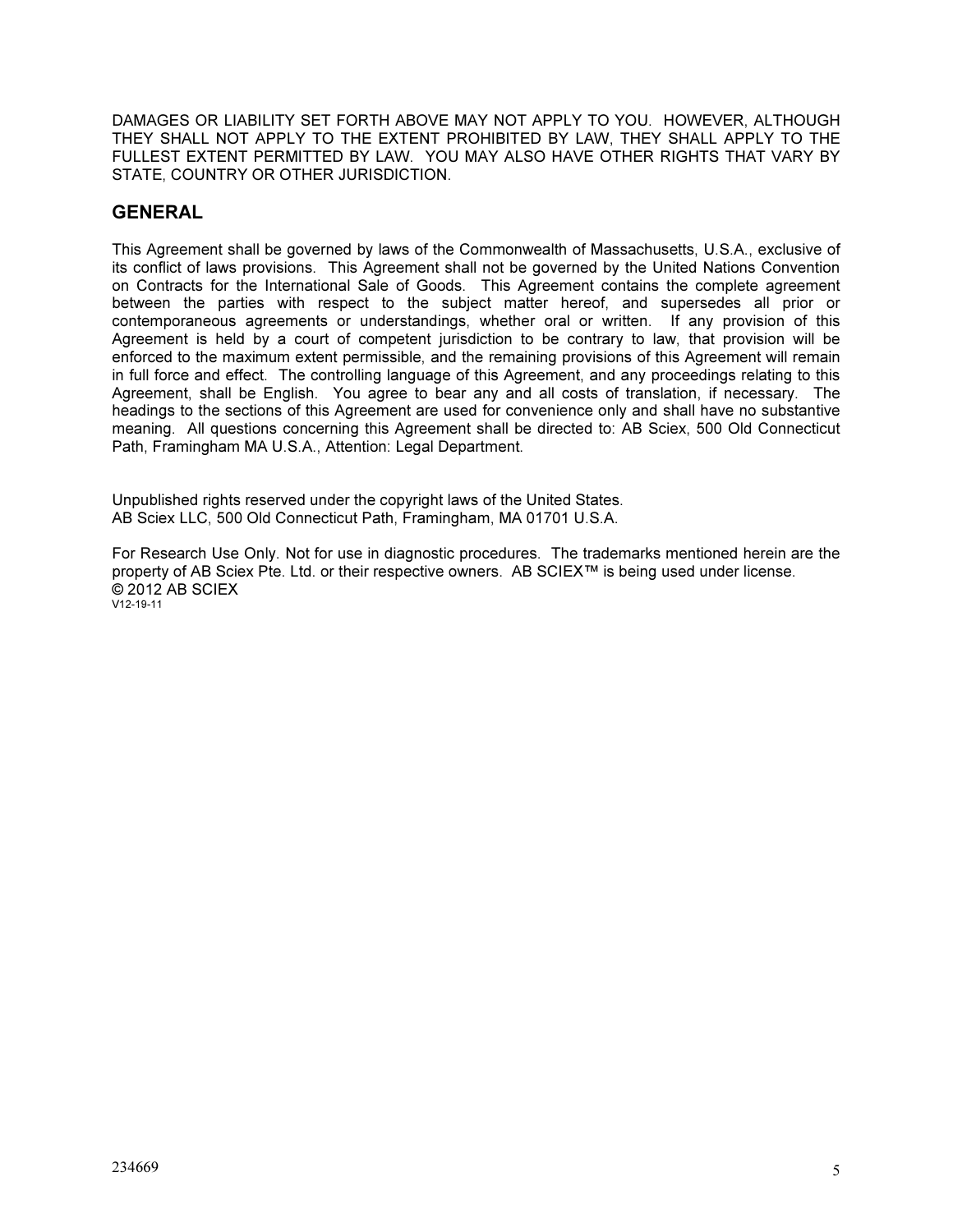DAMAGES OR LIABILITY SET FORTH ABOVE MAY NOT APPLY TO YOU. HOWEVER, ALTHOUGH THEY SHALL NOT APPLY TO THE EXTENT PROHIBITED BY LAW, THEY SHALL APPLY TO THE FULLEST EXTENT PERMITTED BY LAW. YOU MAY ALSO HAVE OTHER RIGHTS THAT VARY BY STATE, COUNTRY OR OTHER JURISDICTION.

## GENERAL

This Agreement shall be governed by laws of the Commonwealth of Massachusetts, U.S.A., exclusive of its conflict of laws provisions. This Agreement shall not be governed by the United Nations Convention on Contracts for the International Sale of Goods. This Agreement contains the complete agreement between the parties with respect to the subject matter hereof, and supersedes all prior or contemporaneous agreements or understandings, whether oral or written. If any provision of this Agreement is held by a court of competent jurisdiction to be contrary to law, that provision will be enforced to the maximum extent permissible, and the remaining provisions of this Agreement will remain in full force and effect. The controlling language of this Agreement, and any proceedings relating to this Agreement, shall be English. You agree to bear any and all costs of translation, if necessary. The headings to the sections of this Agreement are used for convenience only and shall have no substantive meaning. All questions concerning this Agreement shall be directed to: AB Sciex, 500 Old Connecticut Path, Framingham MA U.S.A., Attention: Legal Department.

Unpublished rights reserved under the copyright laws of the United States. AB Sciex LLC, 500 Old Connecticut Path, Framingham, MA 01701 U.S.A.

For Research Use Only. Not for use in diagnostic procedures. The trademarks mentioned herein are the property of AB Sciex Pte. Ltd. or their respective owners. AB SCIEX™ is being used under license. © 2012 AB SCIEX V12-19-11